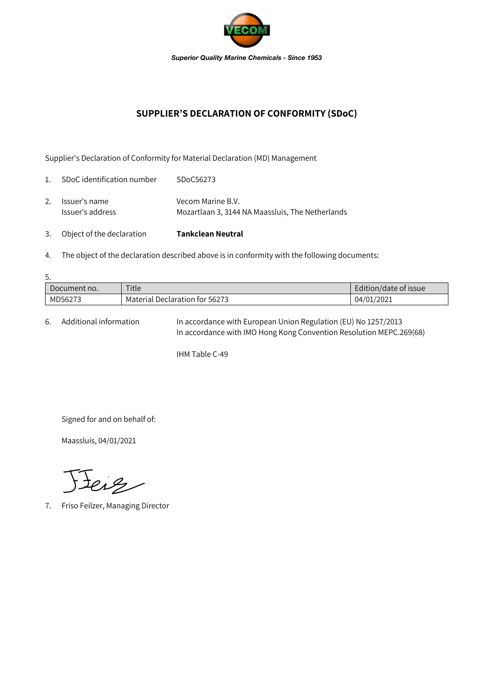

## **SUPPLIER'S DECLARATION OF CONFORMITY (SDoC)**

Supplier's Declaration of Conformity for Material Declaration (MD) Management

| 3.             | Object of the declaration         | Tankclean Neutral                                                     |
|----------------|-----------------------------------|-----------------------------------------------------------------------|
| 2.             | Issuer's name<br>Issuer's address | Vecom Marine B.V.<br>Mozartlaan 3, 3144 NA Maassluis, The Netherlands |
| $\mathbf{1}$ . | SDoC identification number        | SDoC56273                                                             |

4. The object of the declaration described above is in conformity with the following documents:

| 5.           |                                |                       |  |  |  |  |
|--------------|--------------------------------|-----------------------|--|--|--|--|
| Document no. | Title                          | Edition/date of issue |  |  |  |  |
| MD56273      | Material Declaration for 56273 | 04/01/2021            |  |  |  |  |

6. Additional information In accordance with European Union Regulation (EU) No 1257/2013 In accordance with IMO Hong Kong Convention Resolution MEPC.269(68)

IHM Table C-49

Signed for and on behalf of:

Maassluis, 04/01/2021

Jeig

7. Friso Feilzer, Managing Director